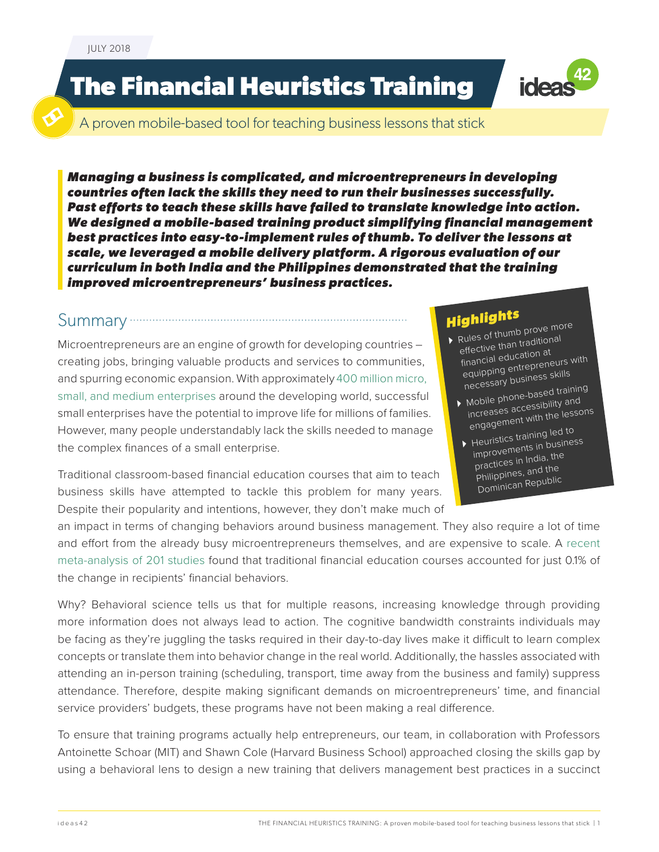# **The Financial Heuristics Training**



A proven mobile-based tool for teaching business lessons that stick

*Managing a business is complicated, and microentrepreneurs in developing countries often lack the skills they need to run their businesses successfully. Past efforts to teach these skills have failed to translate knowledge into action. We designed a mobile-based training product simplifying financial management best practices into easy-to-implement rules of thumb. To deliver the lessons at scale, we leveraged a mobile delivery platform. A rigorous evaluation of our curriculum in both India and the Philippines demonstrated that the training improved microentrepreneurs' business practices.* 

#### Summary

Microentrepreneurs are an engine of growth for developing countries – creating jobs, bringing valuable products and services to communities, and spurring economic expansion. With approximately [400 million micro,](http://www.gpfi.org/sites/default/files/documents/G20_Stocktaking_Report_0.pdf)  [small, and medium enterprises](http://www.gpfi.org/sites/default/files/documents/G20_Stocktaking_Report_0.pdf) around the developing world, successful small enterprises have the potential to improve life for millions of families. However, many people understandably lack the skills needed to manage the complex finances of a small enterprise.

Traditional classroom-based financial education courses that aim to teach business skills have attempted to tackle this problem for many years. Despite their popularity and intentions, however, they don't make much of

## *Highlights*

- Rules of thumb prove more effective than traditiona<sup>l</sup> financial education a<sup>t</sup> equipping entrepreneurs with necessary business skills
- Theceser 7<br>Mobile phone-based training increases accessibility an<sup>d</sup> engagement with the lessons
- $\rightarrow$  Heuristics training led to improvements in business practices in India, the Philippines, and the Dominican Republic

an impact in terms of changing behaviors around business management. They also require a lot of time and effort from the already busy microentrepreneurs themselves, and are expensive to scale. A [recent](https://pubsonline.informs.org/doi/abs/10.1287/mnsc.2013.1849)  [meta-analysis of 201 studies](https://pubsonline.informs.org/doi/abs/10.1287/mnsc.2013.1849) found that traditional financial education courses accounted for just 0.1% of the change in recipients' financial behaviors.

Why? Behavioral science tells us that for multiple reasons, increasing knowledge through providing more information does not always lead to action. The cognitive bandwidth constraints individuals may be facing as they're juggling the tasks required in their day-to-day lives make it difficult to learn complex concepts or translate them into behavior change in the real world. Additionally, the hassles associated with attending an in-person training (scheduling, transport, time away from the business and family) suppress attendance. Therefore, despite making significant demands on microentrepreneurs' time, and financial service providers' budgets, these programs have not been making a real difference.

To ensure that training programs actually help entrepreneurs, our team, in collaboration with Professors Antoinette Schoar (MIT) and Shawn Cole (Harvard Business School) approached closing the skills gap by using a behavioral lens to design a new training that delivers management best practices in a succinct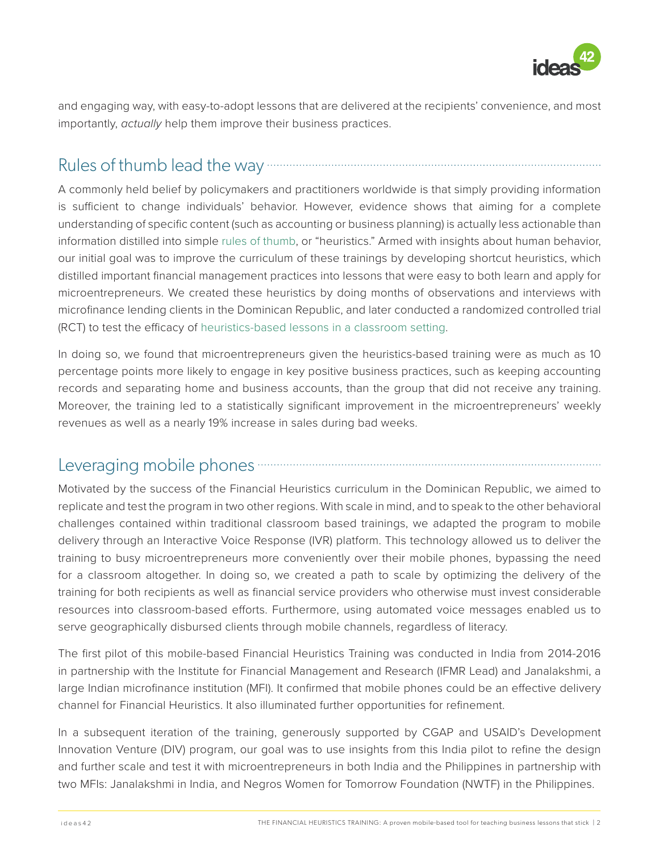

and engaging way, with easy-to-adopt lessons that are delivered at the recipients' convenience, and most importantly, *actually* help them improve their business practices.

### Rules of thumb lead the way

A commonly held belief by policymakers and practitioners worldwide is that simply providing information is sufficient to change individuals' behavior. However, evidence shows that aiming for a complete understanding of specific content (such as accounting or business planning) is actually less actionable than information distilled into simple [rules of thumb,](https://www.sciencedirect.com/science/article/pii/S0010027708000826?via%3Dihub) or "heuristics." Armed with insights about human behavior, our initial goal was to improve the curriculum of these trainings by developing shortcut heuristics, which distilled important financial management practices into lessons that were easy to both learn and apply for microentrepreneurs. We created these heuristics by doing months of observations and interviews with microfinance lending clients in the Dominican Republic, and later conducted a randomized controlled trial (RCT) to test the efficacy of [heuristics-based lessons in a classroom setting](https://www.povertyactionlab.org/sites/default/files/publications/124_303%20Rules%20of%20Thumb%20AEJ%20Apr2014.pdf).

In doing so, we found that microentrepreneurs given the heuristics-based training were as much as 10 percentage points more likely to engage in key positive business practices, such as keeping accounting records and separating home and business accounts, than the group that did not receive any training. Moreover, the training led to a statistically significant improvement in the microentrepreneurs' weekly revenues as well as a nearly 19% increase in sales during bad weeks.

#### Leveraging mobile phones **contract the contract of the phones** contract the phones of the contract of the contract of the contract of the contract of the contract of the contract of the contract of the contract of the cont

Motivated by the success of the Financial Heuristics curriculum in the Dominican Republic, we aimed to replicate and test the program in two other regions. With scale in mind, and to speak to the other behavioral challenges contained within traditional classroom based trainings, we adapted the program to mobile delivery through an Interactive Voice Response (IVR) platform. This technology allowed us to deliver the training to busy microentrepreneurs more conveniently over their mobile phones, bypassing the need for a classroom altogether. In doing so, we created a path to scale by optimizing the delivery of the training for both recipients as well as financial service providers who otherwise must invest considerable resources into classroom-based efforts. Furthermore, using automated voice messages enabled us to serve geographically disbursed clients through mobile channels, regardless of literacy.

The first pilot of this mobile-based Financial Heuristics Training was conducted in India from 2014-2016 in partnership with the Institute for Financial Management and Research (IFMR Lead) and Janalakshmi, a large Indian microfinance institution (MFI). It confirmed that mobile phones could be an effective delivery channel for Financial Heuristics. It also illuminated further opportunities for refinement.

In a subsequent iteration of the training, generously supported by CGAP and USAID's Development Innovation Venture (DIV) program, our goal was to use insights from this India pilot to refine the design and further scale and test it with microentrepreneurs in both India and the Philippines in partnership with two MFIs: Janalakshmi in India, and Negros Women for Tomorrow Foundation (NWTF) in the Philippines.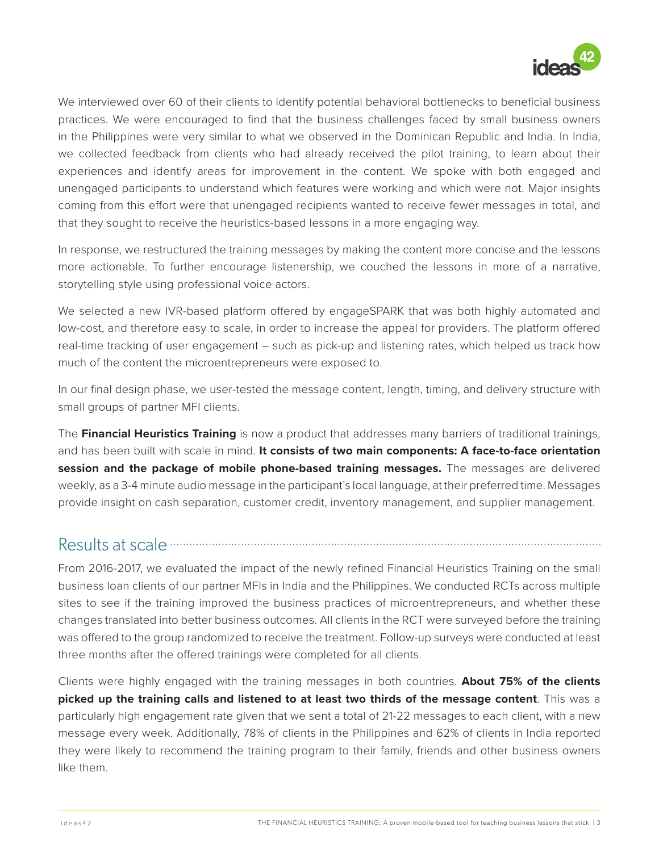

We interviewed over 60 of their clients to identify potential behavioral bottlenecks to beneficial business practices. We were encouraged to find that the business challenges faced by small business owners in the Philippines were very similar to what we observed in the Dominican Republic and India. In India, we collected feedback from clients who had already received the pilot training, to learn about their experiences and identify areas for improvement in the content. We spoke with both engaged and unengaged participants to understand which features were working and which were not. Major insights coming from this effort were that unengaged recipients wanted to receive fewer messages in total, and that they sought to receive the heuristics-based lessons in a more engaging way.

In response, we restructured the training messages by making the content more concise and the lessons more actionable. To further encourage listenership, we couched the lessons in more of a narrative, storytelling style using professional voice actors.

We selected a new IVR-based platform offered by engageSPARK that was both highly automated and low-cost, and therefore easy to scale, in order to increase the appeal for providers. The platform offered real-time tracking of user engagement – such as pick-up and listening rates, which helped us track how much of the content the microentrepreneurs were exposed to.

In our final design phase, we user-tested the message content, length, timing, and delivery structure with small groups of partner MFI clients.

The **Financial Heuristics Training** is now a product that addresses many barriers of traditional trainings, and has been built with scale in mind. **It consists of two main components: A face-to-face orientation session and the package of mobile phone-based training messages.** The messages are delivered weekly, as a 3-4 minute audio message in the participant's local language, at their preferred time. Messages provide insight on cash separation, customer credit, inventory management, and supplier management.

#### Results at scale **communications**

From 2016-2017, we evaluated the impact of the newly refined Financial Heuristics Training on the small business loan clients of our partner MFIs in India and the Philippines. We conducted RCTs across multiple sites to see if the training improved the business practices of microentrepreneurs, and whether these changes translated into better business outcomes. All clients in the RCT were surveyed before the training was offered to the group randomized to receive the treatment. Follow-up surveys were conducted at least three months after the offered trainings were completed for all clients.

Clients were highly engaged with the training messages in both countries. **About 75% of the clients picked up the training calls and listened to at least two thirds of the message content**. This was a particularly high engagement rate given that we sent a total of 21-22 messages to each client, with a new message every week. Additionally, 78% of clients in the Philippines and 62% of clients in India reported they were likely to recommend the training program to their family, friends and other business owners like them.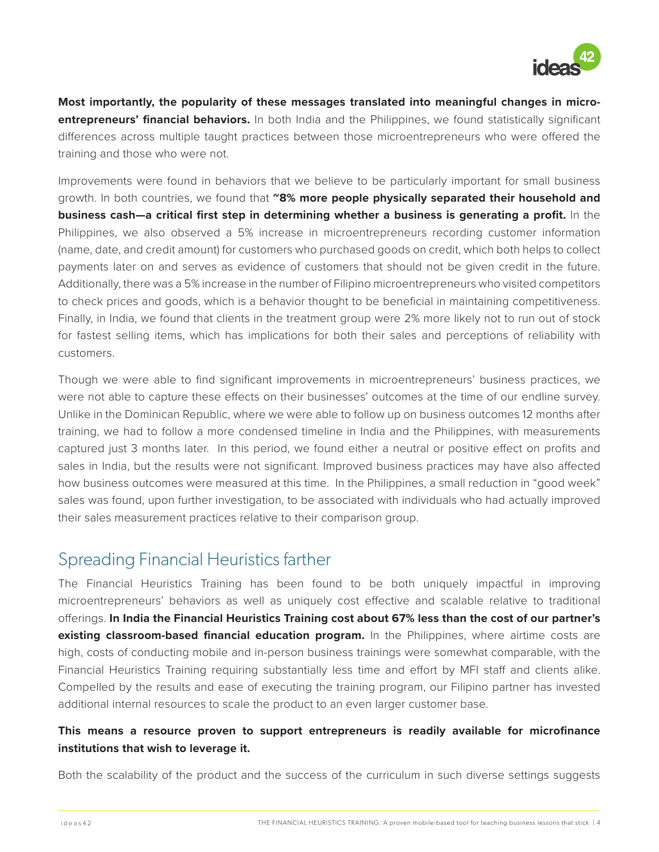

**Most importantly, the popularity of these messages translated into meaningful changes in microentrepreneurs' financial behaviors.** In both India and the Philippines, we found statistically significant differences across multiple taught practices between those microentrepreneurs who were offered the training and those who were not.

Improvements were found in behaviors that we believe to be particularly important for small business growth. In both countries, we found that **~8% more people physically separated their household and business cash—a critical first step in determining whether a business is generating a profit.** In the Philippines, we also observed a 5% increase in microentrepreneurs recording customer information (name, date, and credit amount) for customers who purchased goods on credit, which both helps to collect payments later on and serves as evidence of customers that should not be given credit in the future. Additionally, there was a 5% increase in the number of Filipino microentrepreneurs who visited competitors to check prices and goods, which is a behavior thought to be beneficial in maintaining competitiveness. Finally, in India, we found that clients in the treatment group were 2% more likely not to run out of stock for fastest selling items, which has implications for both their sales and perceptions of reliability with customers.

Though we were able to find significant improvements in microentrepreneurs' business practices, we were not able to capture these effects on their businesses' outcomes at the time of our endline survey. Unlike in the Dominican Republic, where we were able to follow up on business outcomes 12 months after training, we had to follow a more condensed timeline in India and the Philippines, with measurements captured just 3 months later. In this period, we found either a neutral or positive effect on profits and sales in India, but the results were not significant. Improved business practices may have also affected how business outcomes were measured at this time. In the Philippines, a small reduction in "good week" sales was found, upon further investigation, to be associated with individuals who had actually improved their sales measurement practices relative to their comparison group.

#### Spreading Financial Heuristics farther

The Financial Heuristics Training has been found to be both uniquely impactful in improving microentrepreneurs' behaviors as well as uniquely cost effective and scalable relative to traditional offerings. **In India the Financial Heuristics Training cost about 67% less than the cost of our partner's existing classroom-based financial education program.** In the Philippines, where airtime costs are high, costs of conducting mobile and in-person business trainings were somewhat comparable, with the Financial Heuristics Training requiring substantially less time and effort by MFI staff and clients alike. Compelled by the results and ease of executing the training program, our Filipino partner has invested additional internal resources to scale the product to an even larger customer base.

#### **This means a resource proven to support entrepreneurs is readily available for microfinance institutions that wish to leverage it.**

Both the scalability of the product and the success of the curriculum in such diverse settings suggests